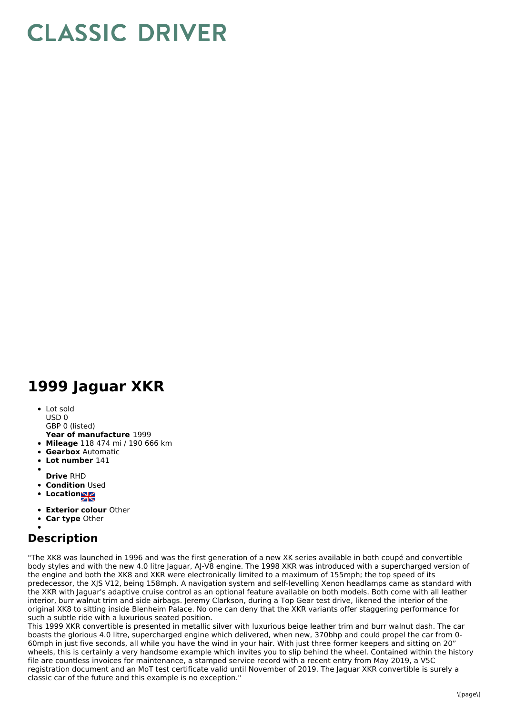## **CLASSIC DRIVER**

## **1999 Jaguar XKR**

• Lot sold USD 0

GBP 0 (listed)

- **Year of manufacture** 1999
- **Mileage** 118 474 mi / 190 666 km
- **Gearbox** Automatic
- **Lot number** 141  $\bullet$
- **Drive** RHD
- **Condition Used**
- Location**NE**
- 
- **Exterior colour** Other
- **Car type** Other

## **Description**

"The XK8 was launched in 1996 and was the first generation of a new XK series available in both coupé and convertible body styles and with the new 4.0 litre Jaguar, AJ-V8 engine. The 1998 XKR was introduced with a supercharged version of the engine and both the XK8 and XKR were electronically limited to a maximum of 155mph; the top speed of its predecessor, the XJS V12, being 158mph. A navigation system and self-levelling Xenon headlamps came as standard with the XKR with Jaguar's adaptive cruise control as an optional feature available on both models. Both come with all leather interior, burr walnut trim and side airbags. Jeremy Clarkson, during a Top Gear test drive, likened the interior of the original XK8 to sitting inside Blenheim Palace. No one can deny that the XKR variants offer staggering performance for such a subtle ride with a luxurious seated position.

This 1999 XKR convertible is presented in metallic silver with luxurious beige leather trim and burr walnut dash. The car boasts the glorious 4.0 litre, supercharged engine which delivered, when new, 370bhp and could propel the car from 0- 60mph in just five seconds, all while you have the wind in your hair. With just three former keepers and sitting on 20" wheels, this is certainly a very handsome example which invites you to slip behind the wheel. Contained within the history file are countless invoices for maintenance, a stamped service record with a recent entry from May 2019, a V5C registration document and an MoT test certificate valid until November of 2019. The Jaguar XKR convertible is surely a classic car of the future and this example is no exception."